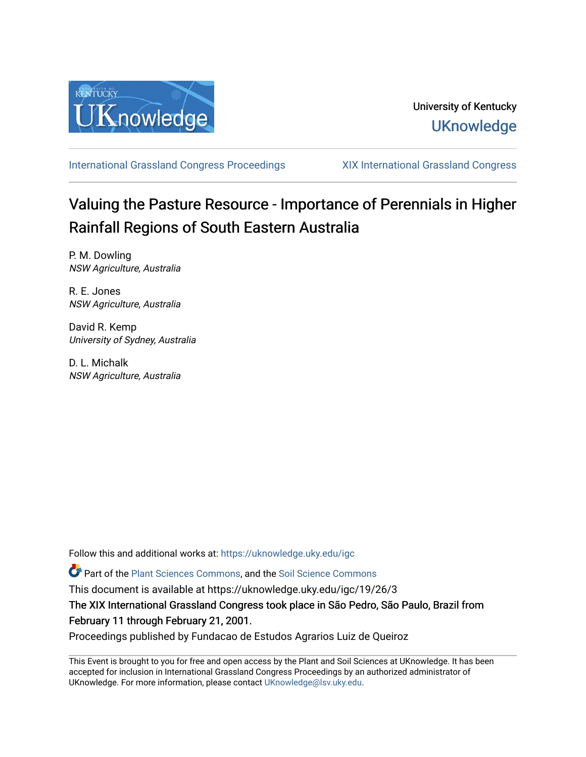

[International Grassland Congress Proceedings](https://uknowledge.uky.edu/igc) [XIX International Grassland Congress](https://uknowledge.uky.edu/igc/19) 

# Valuing the Pasture Resource - Importance of Perennials in Higher Rainfall Regions of South Eastern Australia

P. M. Dowling NSW Agriculture, Australia

R. E. Jones NSW Agriculture, Australia

David R. Kemp University of Sydney, Australia

D. L. Michalk NSW Agriculture, Australia

Follow this and additional works at: [https://uknowledge.uky.edu/igc](https://uknowledge.uky.edu/igc?utm_source=uknowledge.uky.edu%2Figc%2F19%2F26%2F3&utm_medium=PDF&utm_campaign=PDFCoverPages) 

Part of the [Plant Sciences Commons](http://network.bepress.com/hgg/discipline/102?utm_source=uknowledge.uky.edu%2Figc%2F19%2F26%2F3&utm_medium=PDF&utm_campaign=PDFCoverPages), and the [Soil Science Commons](http://network.bepress.com/hgg/discipline/163?utm_source=uknowledge.uky.edu%2Figc%2F19%2F26%2F3&utm_medium=PDF&utm_campaign=PDFCoverPages) 

This document is available at https://uknowledge.uky.edu/igc/19/26/3

The XIX International Grassland Congress took place in São Pedro, São Paulo, Brazil from February 11 through February 21, 2001.

Proceedings published by Fundacao de Estudos Agrarios Luiz de Queiroz

This Event is brought to you for free and open access by the Plant and Soil Sciences at UKnowledge. It has been accepted for inclusion in International Grassland Congress Proceedings by an authorized administrator of UKnowledge. For more information, please contact [UKnowledge@lsv.uky.edu](mailto:UKnowledge@lsv.uky.edu).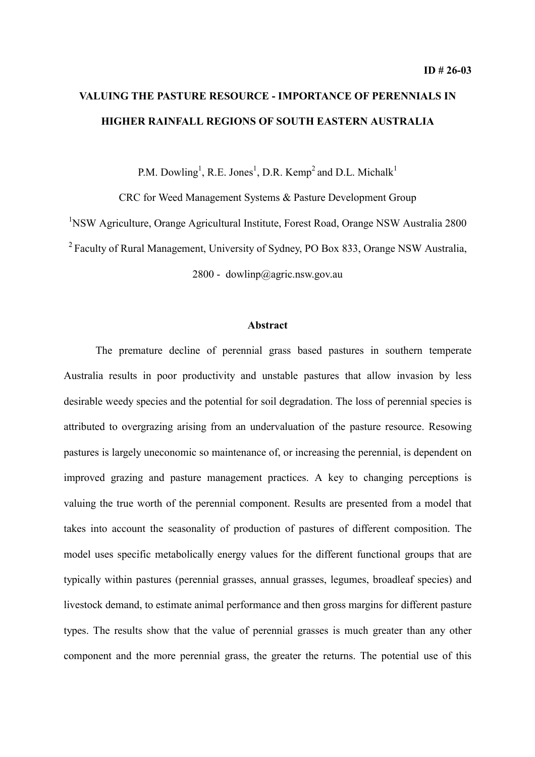## **VALUING THE PASTURE RESOURCE - IMPORTANCE OF PERENNIALS IN HIGHER RAINFALL REGIONS OF SOUTH EASTERN AUSTRALIA**

P.M. Dowling<sup>1</sup>, R.E. Jones<sup>1</sup>, D.R. Kemp<sup>2</sup> and D.L. Michalk<sup>1</sup>

CRC for Weed Management Systems & Pasture Development Group

<sup>1</sup>NSW Agriculture, Orange Agricultural Institute, Forest Road, Orange NSW Australia 2800

<sup>2</sup> Faculty of Rural Management, University of Sydney, PO Box 833, Orange NSW Australia,

2800 - dowlinp@agric.nsw.gov.au

## **Abstract**

The premature decline of perennial grass based pastures in southern temperate Australia results in poor productivity and unstable pastures that allow invasion by less desirable weedy species and the potential for soil degradation. The loss of perennial species is attributed to overgrazing arising from an undervaluation of the pasture resource. Resowing pastures is largely uneconomic so maintenance of, or increasing the perennial, is dependent on improved grazing and pasture management practices. A key to changing perceptions is valuing the true worth of the perennial component. Results are presented from a model that takes into account the seasonality of production of pastures of different composition. The model uses specific metabolically energy values for the different functional groups that are typically within pastures (perennial grasses, annual grasses, legumes, broadleaf species) and livestock demand, to estimate animal performance and then gross margins for different pasture types. The results show that the value of perennial grasses is much greater than any other component and the more perennial grass, the greater the returns. The potential use of this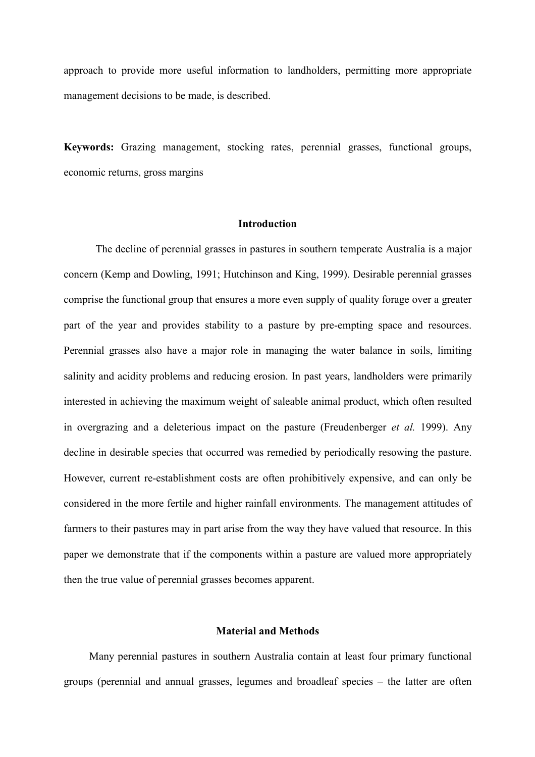approach to provide more useful information to landholders, permitting more appropriate management decisions to be made, is described.

**Keywords:** Grazing management, stocking rates, perennial grasses, functional groups, economic returns, gross margins

## **Introduction**

The decline of perennial grasses in pastures in southern temperate Australia is a major concern (Kemp and Dowling, 1991; Hutchinson and King, 1999). Desirable perennial grasses comprise the functional group that ensures a more even supply of quality forage over a greater part of the year and provides stability to a pasture by pre-empting space and resources. Perennial grasses also have a major role in managing the water balance in soils, limiting salinity and acidity problems and reducing erosion. In past years, landholders were primarily interested in achieving the maximum weight of saleable animal product, which often resulted in overgrazing and a deleterious impact on the pasture (Freudenberger *et al.* 1999). Any decline in desirable species that occurred was remedied by periodically resowing the pasture. However, current re-establishment costs are often prohibitively expensive, and can only be considered in the more fertile and higher rainfall environments. The management attitudes of farmers to their pastures may in part arise from the way they have valued that resource. In this paper we demonstrate that if the components within a pasture are valued more appropriately then the true value of perennial grasses becomes apparent.

## **Material and Methods**

Many perennial pastures in southern Australia contain at least four primary functional groups (perennial and annual grasses, legumes and broadleaf species – the latter are often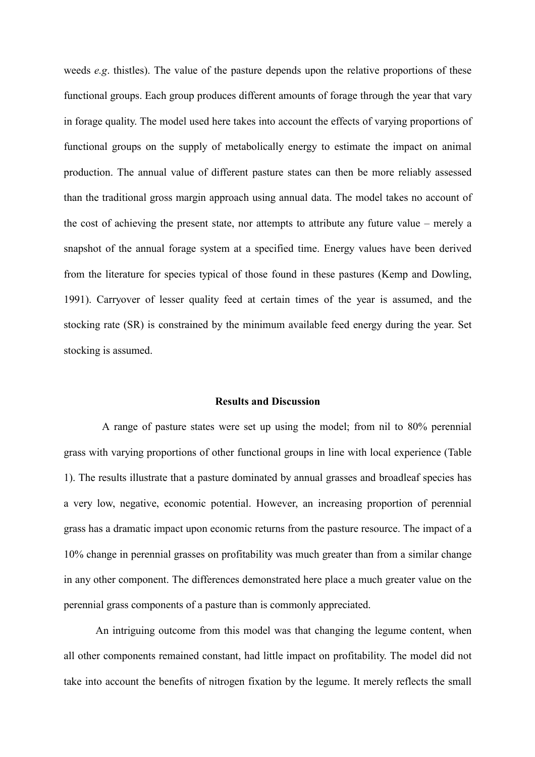weeds *e.g*. thistles). The value of the pasture depends upon the relative proportions of these functional groups. Each group produces different amounts of forage through the year that vary in forage quality. The model used here takes into account the effects of varying proportions of functional groups on the supply of metabolically energy to estimate the impact on animal production. The annual value of different pasture states can then be more reliably assessed than the traditional gross margin approach using annual data. The model takes no account of the cost of achieving the present state, nor attempts to attribute any future value – merely a snapshot of the annual forage system at a specified time. Energy values have been derived from the literature for species typical of those found in these pastures (Kemp and Dowling, 1991). Carryover of lesser quality feed at certain times of the year is assumed, and the stocking rate (SR) is constrained by the minimum available feed energy during the year. Set stocking is assumed.

### **Results and Discussion**

A range of pasture states were set up using the model; from nil to 80% perennial grass with varying proportions of other functional groups in line with local experience (Table 1). The results illustrate that a pasture dominated by annual grasses and broadleaf species has a very low, negative, economic potential. However, an increasing proportion of perennial grass has a dramatic impact upon economic returns from the pasture resource. The impact of a 10% change in perennial grasses on profitability was much greater than from a similar change in any other component. The differences demonstrated here place a much greater value on the perennial grass components of a pasture than is commonly appreciated.

An intriguing outcome from this model was that changing the legume content, when all other components remained constant, had little impact on profitability. The model did not take into account the benefits of nitrogen fixation by the legume. It merely reflects the small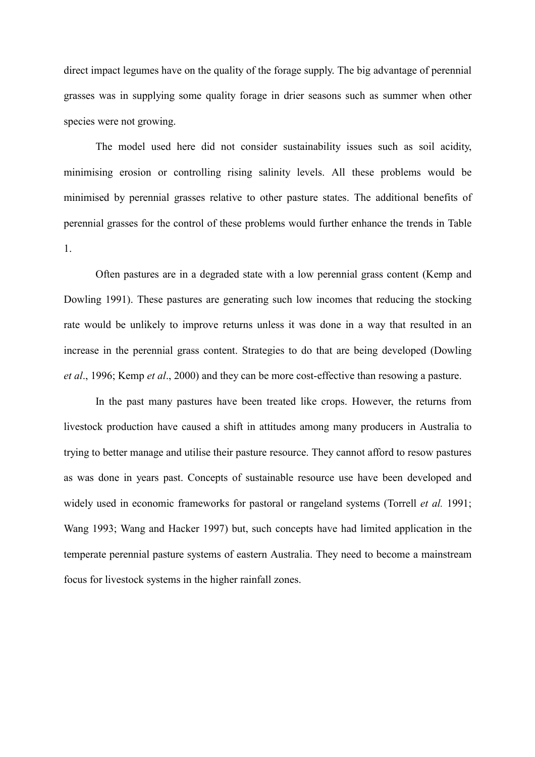direct impact legumes have on the quality of the forage supply. The big advantage of perennial grasses was in supplying some quality forage in drier seasons such as summer when other species were not growing.

The model used here did not consider sustainability issues such as soil acidity, minimising erosion or controlling rising salinity levels. All these problems would be minimised by perennial grasses relative to other pasture states. The additional benefits of perennial grasses for the control of these problems would further enhance the trends in Table 1.

Often pastures are in a degraded state with a low perennial grass content (Kemp and Dowling 1991). These pastures are generating such low incomes that reducing the stocking rate would be unlikely to improve returns unless it was done in a way that resulted in an increase in the perennial grass content. Strategies to do that are being developed (Dowling *et al*., 1996; Kemp *et al*., 2000) and they can be more cost-effective than resowing a pasture.

In the past many pastures have been treated like crops. However, the returns from livestock production have caused a shift in attitudes among many producers in Australia to trying to better manage and utilise their pasture resource. They cannot afford to resow pastures as was done in years past. Concepts of sustainable resource use have been developed and widely used in economic frameworks for pastoral or rangeland systems (Torrell *et al.* 1991; Wang 1993; Wang and Hacker 1997) but, such concepts have had limited application in the temperate perennial pasture systems of eastern Australia. They need to become a mainstream focus for livestock systems in the higher rainfall zones.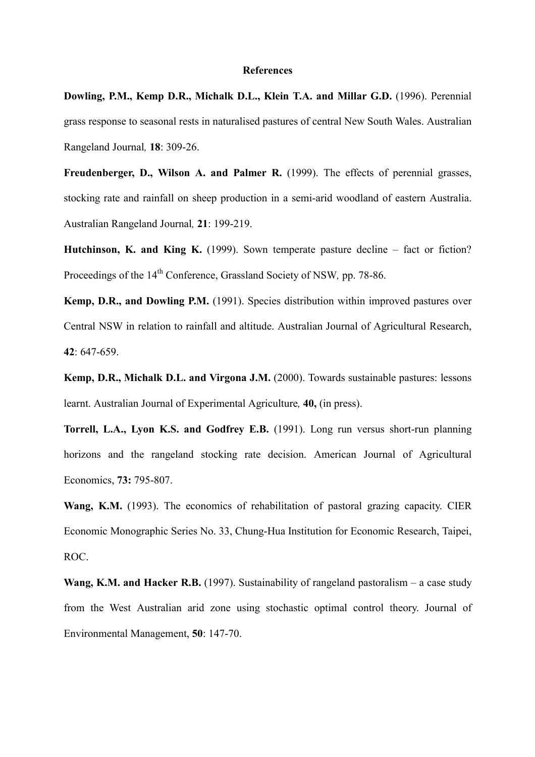#### **References**

**Dowling, P.M., Kemp D.R., Michalk D.L., Klein T.A. and Millar G.D.** (1996). Perennial grass response to seasonal rests in naturalised pastures of central New South Wales. Australian Rangeland Journal*,* **18**: 309-26.

**Freudenberger, D., Wilson A. and Palmer R.** (1999). The effects of perennial grasses, stocking rate and rainfall on sheep production in a semi-arid woodland of eastern Australia. Australian Rangeland Journal*,* **21**: 199-219.

**Hutchinson, K. and King K.** (1999). Sown temperate pasture decline – fact or fiction? Proceedings of the 14th Conference, Grassland Society of NSW*,* pp. 78-86.

**Kemp, D.R., and Dowling P.M.** (1991). Species distribution within improved pastures over Central NSW in relation to rainfall and altitude. Australian Journal of Agricultural Research, **42**: 647-659.

Kemp, D.R., Michalk D.L. and Virgona J.M. (2000). Towards sustainable pastures: lessons learnt. Australian Journal of Experimental Agriculture*,* **40,** (in press).

**Torrell, L.A., Lyon K.S. and Godfrey E.B.** (1991). Long run versus short-run planning horizons and the rangeland stocking rate decision. American Journal of Agricultural Economics, **73:** 795-807.

**Wang, K.M.** (1993). The economics of rehabilitation of pastoral grazing capacity. CIER Economic Monographic Series No. 33, Chung-Hua Institution for Economic Research, Taipei, ROC.

**Wang, K.M. and Hacker R.B.** (1997). Sustainability of rangeland pastoralism – a case study from the West Australian arid zone using stochastic optimal control theory. Journal of Environmental Management, **50**: 147-70.